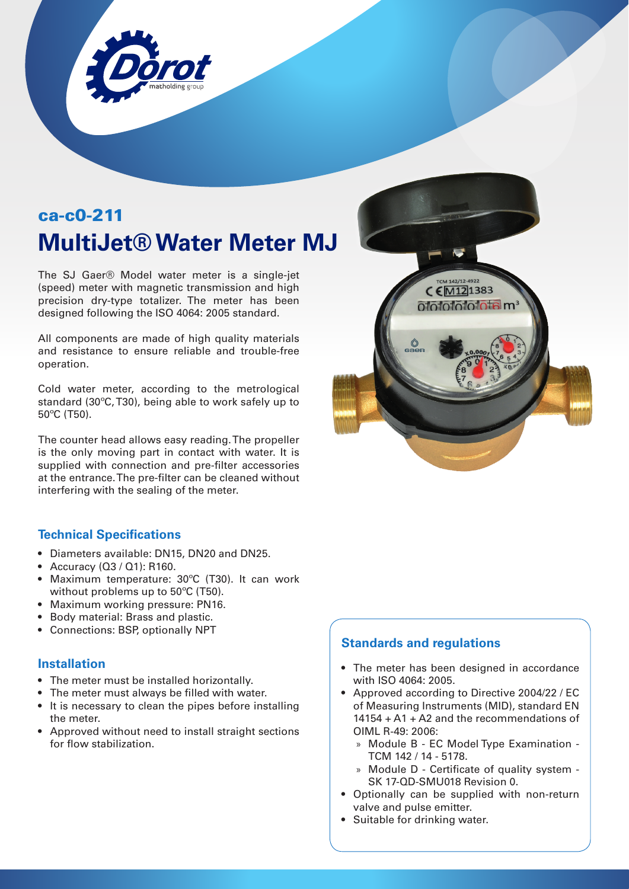

# ca-c0-211 **MultiJet® Water Meter MJ**

The SJ Gaer® Model water meter is a single-jet (speed) meter with magnetic transmission and high precision dry-type totalizer. The meter has been designed following the ISO 4064: 2005 standard.

All components are made of high quality materials and resistance to ensure reliable and trouble-free operation.

Cold water meter, according to the metrological standard (30ºC, T30), being able to work safely up to 50ºC (T50).

The counter head allows easy reading. The propeller is the only moving part in contact with water. It is supplied with connection and pre-filter accessories at the entrance. The pre-filter can be cleaned without interfering with the sealing of the meter.

### **Technical Specifications**

- Diameters available: DN15, DN20 and DN25.
- Accuracy (Q3 / Q1): R160.
- Maximum temperature: 30ºC (T30). It can work without problems up to 50ºC (T50).
- Maximum working pressure: PN16.
- Body material: Brass and plastic.
- Connections: BSP, optionally NPT

#### **Installation**

- The meter must be installed horizontally.
- The meter must always be filled with water.
- It is necessary to clean the pipes before installing the meter.
- Approved without need to install straight sections for flow stabilization.



#### **Standards and regulations**

- The meter has been designed in accordance with ISO 4064: 2005.
- Approved according to Directive 2004/22 / EC of Measuring Instruments (MID), standard EN 14154 + A1 + A2 and the recommendations of OIML R-49: 2006:
	- » Module B EC Model Type Examination TCM 142 / 14 - 5178.
	- » Module D Certificate of quality system SK 17-QD-SMU018 Revision 0.
- Optionally can be supplied with non-return valve and pulse emitter.
- Suitable for drinking water.